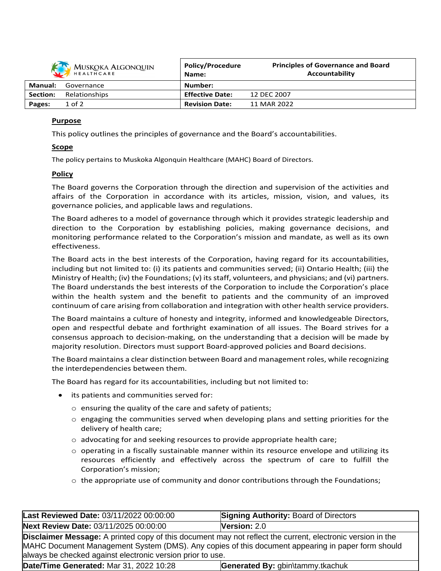

| <i><b>INDUNDATILOUISCONS</b></i><br>HEALTHCARE |               | Name:                  | Accountability |
|------------------------------------------------|---------------|------------------------|----------------|
| Manual:                                        | Governance    | Number:                |                |
| <b>Section:</b>                                | Relationships | <b>Effective Date:</b> | 12 DEC 2007    |
| Pages:                                         | $1$ of $2$    | <b>Revision Date:</b>  | 11 MAR 2022    |

**Principles of Governance and Board**

**Policy/Procedure**

## **Purpose**

This policy outlines the principles of governance and the Board's accountabilities.

## **Scope**

The policy pertains to Muskoka Algonquin Healthcare (MAHC) Board of Directors.

## **Policy**

The Board governs the Corporation through the direction and supervision of the activities and affairs of the Corporation in accordance with its articles, mission, vision, and values, its governance policies, and applicable laws and regulations.

The Board adheres to a model of governance through which it provides strategic leadership and direction to the Corporation by establishing policies, making governance decisions, and monitoring performance related to the Corporation's mission and mandate, as well as its own effectiveness.

The Board acts in the best interests of the Corporation, having regard for its accountabilities, including but not limited to: (i) its patients and communities served; (ii) Ontario Health; (iii) the Ministry of Health; (iv) the Foundations; (v) its staff, volunteers, and physicians; and (vi) partners. The Board understands the best interests of the Corporation to include the Corporation's place within the health system and the benefit to patients and the community of an improved continuum of care arising from collaboration and integration with other health service providers.

The Board maintains a culture of honesty and integrity, informed and knowledgeable Directors, open and respectful debate and forthright examination of all issues. The Board strives for a consensus approach to decision-making, on the understanding that a decision will be made by majority resolution. Directors must support Board-approved policies and Board decisions.

The Board maintains a clear distinction between Board and management roles, while recognizing the interdependencies between them.

The Board has regard for its accountabilities, including but not limited to:

- its patients and communities served for:
	- o ensuring the quality of the care and safety of patients;
	- $\circ$  engaging the communities served when developing plans and setting priorities for the delivery of health care;
	- $\circ$  advocating for and seeking resources to provide appropriate health care;
	- $\circ$  operating in a fiscally sustainable manner within its resource envelope and utilizing its resources efficiently and effectively across the spectrum of care to fulfill the Corporation's mission;
	- $\circ$  the appropriate use of community and donor contributions through the Foundations;

| Last Reviewed Date: 03/11/2022 00:00:00                                                                                                                                                                                                                                              | <b>Signing Authority: Board of Directors</b> |  |  |  |
|--------------------------------------------------------------------------------------------------------------------------------------------------------------------------------------------------------------------------------------------------------------------------------------|----------------------------------------------|--|--|--|
| Next Review Date: 03/11/2025 00:00:00                                                                                                                                                                                                                                                | Version: 2.0                                 |  |  |  |
| <b>Disclaimer Message:</b> A printed copy of this document may not reflect the current, electronic version in the<br>MAHC Document Management System (DMS). Any copies of this document appearing in paper form should<br>always be checked against electronic version prior to use. |                                              |  |  |  |
| Date/Time Generated: Mar 31, 2022 10:28                                                                                                                                                                                                                                              | Generated By: gbin\tammy.tkachuk             |  |  |  |